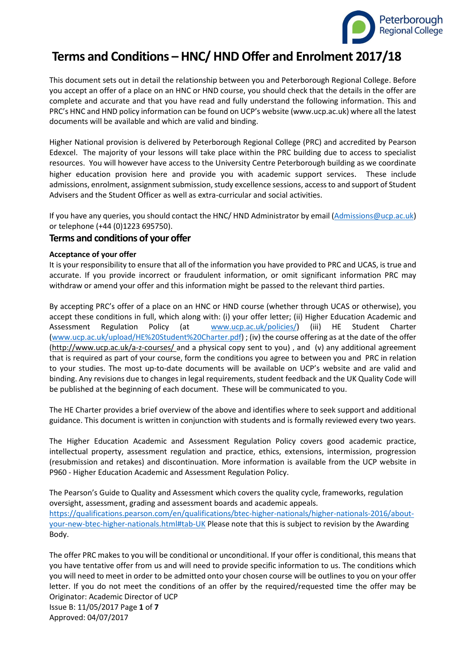

# **Terms and Conditions – HNC/ HND Offer and Enrolment 2017/18**

This document sets out in detail the relationship between you and Peterborough Regional College. Before you accept an offer of a place on an HNC or HND course, you should check that the details in the offer are complete and accurate and that you have read and fully understand the following information. This and PRC's HNC and HND policy information can be found on UCP's website (www.ucp.ac.uk) where all the latest documents will be available and which are valid and binding.

Higher National provision is delivered by Peterborough Regional College (PRC) and accredited by Pearson Edexcel. The majority of your lessons will take place within the PRC building due to access to specialist resources. You will however have access to the University Centre Peterborough building as we coordinate higher education provision here and provide you with academic support services. These include admissions, enrolment, assignment submission, study excellence sessions, access to and support of Student Advisers and the Student Officer as well as extra-curricular and social activities.

If you have any queries, you should contact the HNC/ HND Administrator by email [\(Admissions@ucp.ac.uk\)](mailto:Admissions@ucp.ac.uk) or telephone (+44 (0)1223 695750).

# **Terms and conditions of your offer**

### **Acceptance of your offer**

It is your responsibility to ensure that all of the information you have provided to PRC and UCAS, is true and accurate. If you provide incorrect or fraudulent information, or omit significant information PRC may withdraw or amend your offer and this information might be passed to the relevant third parties.

By accepting PRC's offer of a place on an HNC or HND course (whether through UCAS or otherwise), you accept these conditions in full, which along with: (i) your offer letter; (ii) Higher Education Academic and Assessment Regulation Policy (at [www.ucp.ac.uk/policies/\)](http://www.ucp.ac.uk/policies/) (iii) HE Student Charter [\(www.ucp.ac.uk/upload/HE%20Student%20Charter.pdf\)](http://www.ucp.ac.uk/upload/HE%20Student%20Charter.pdf) ; (iv) the course offering as at the date of the offer [\(http://www.ucp.ac.uk/a-z-courses/](http://www.ucp.ac.uk/a-z-courses/) and a physical copy sent to you) , and (v) any additional agreement that is required as part of your course, form the conditions you agree to between you and PRC in relation to your studies. The most up-to-date documents will be available on UCP's website and are valid and binding. Any revisions due to changes in legal requirements, student feedback and the UK Quality Code will be published at the beginning of each document. These will be communicated to you.

The HE Charter provides a brief overview of the above and identifies where to seek support and additional guidance. This document is written in conjunction with students and is formally reviewed every two years.

The Higher Education Academic and Assessment Regulation Policy covers good academic practice, intellectual property, assessment regulation and practice, ethics, extensions, intermission, progression (resubmission and retakes) and discontinuation. More information is available from the UCP website in P960 - Higher Education Academic and Assessment Regulation Policy.

The Pearson's Guide to Quality and Assessment which covers the quality cycle, frameworks, regulation oversight, assessment, grading and assessment boards and academic appeals. [https://qualifications.pearson.com/en/qualifications/btec-higher-nationals/higher-nationals-2016/about](https://qualifications.pearson.com/en/qualifications/btec-higher-nationals/higher-nationals-2016/about-your-new-btec-higher-nationals.html#tab-UK)[your-new-btec-higher-nationals.html#tab-UK](https://qualifications.pearson.com/en/qualifications/btec-higher-nationals/higher-nationals-2016/about-your-new-btec-higher-nationals.html#tab-UK) Please note that this is subject to revision by the Awarding Body.

Originator: Academic Director of UCP Issue B: 11/05/2017 Page **1** of **7** Approved: 04/07/2017 The offer PRC makes to you will be conditional or unconditional. If your offer is conditional, this means that you have tentative offer from us and will need to provide specific information to us. The conditions which you will need to meet in order to be admitted onto your chosen course will be outlines to you on your offer letter. If you do not meet the conditions of an offer by the required/requested time the offer may be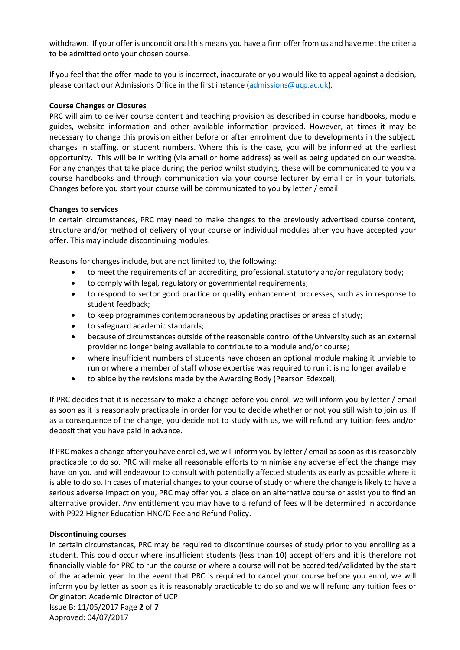withdrawn. If your offer is unconditional this means you have a firm offer from us and have met the criteria to be admitted onto your chosen course.

If you feel that the offer made to you is incorrect, inaccurate or you would like to appeal against a decision, please contact our Admissions Office in the first instance [\(admissions@ucp.ac.uk\)](mailto:admissions@ucp.ac.uk).

### **Course Changes or Closures**

PRC will aim to deliver course content and teaching provision as described in course handbooks, module guides, website information and other available information provided. However, at times it may be necessary to change this provision either before or after enrolment due to developments in the subject, changes in staffing, or student numbers. Where this is the case, you will be informed at the earliest opportunity. This will be in writing (via email or home address) as well as being updated on our website. For any changes that take place during the period whilst studying, these will be communicated to you via course handbooks and through communication via your course lecturer by email or in your tutorials. Changes before you start your course will be communicated to you by letter / email.

### **Changes to services**

In certain circumstances, PRC may need to make changes to the previously advertised course content, structure and/or method of delivery of your course or individual modules after you have accepted your offer. This may include discontinuing modules.

Reasons for changes include, but are not limited to, the following:

- to meet the requirements of an accrediting, professional, statutory and/or regulatory body;
- to comply with legal, regulatory or governmental requirements;
- to respond to sector good practice or quality enhancement processes, such as in response to student feedback;
- to keep programmes contemporaneous by updating practises or areas of study;
- to safeguard academic standards;
- because of circumstances outside of the reasonable control of the University such as an external provider no longer being available to contribute to a module and/or course;
- where insufficient numbers of students have chosen an optional module making it unviable to run or where a member of staff whose expertise was required to run it is no longer available
- to abide by the revisions made by the Awarding Body (Pearson Edexcel).

If PRC decides that it is necessary to make a change before you enrol, we will inform you by letter / email as soon as it is reasonably practicable in order for you to decide whether or not you still wish to join us. If as a consequence of the change, you decide not to study with us, we will refund any tuition fees and/or deposit that you have paid in advance.

If PRC makes a change after you have enrolled, we will inform you by letter/ email as soon as it is reasonably practicable to do so. PRC will make all reasonable efforts to minimise any adverse effect the change may have on you and will endeavour to consult with potentially affected students as early as possible where it is able to do so. In cases of material changes to your course of study or where the change is likely to have a serious adverse impact on you, PRC may offer you a place on an alternative course or assist you to find an alternative provider. Any entitlement you may have to a refund of fees will be determined in accordance with P922 Higher Education HNC/D Fee and Refund Policy.

### **Discontinuing courses**

Originator: Academic Director of UCP Issue B: 11/05/2017 Page **2** of **7** Approved: 04/07/2017 In certain circumstances, PRC may be required to discontinue courses of study prior to you enrolling as a student. This could occur where insufficient students (less than 10) accept offers and it is therefore not financially viable for PRC to run the course or where a course will not be accredited/validated by the start of the academic year. In the event that PRC is required to cancel your course before you enrol, we will inform you by letter as soon as it is reasonably practicable to do so and we will refund any tuition fees or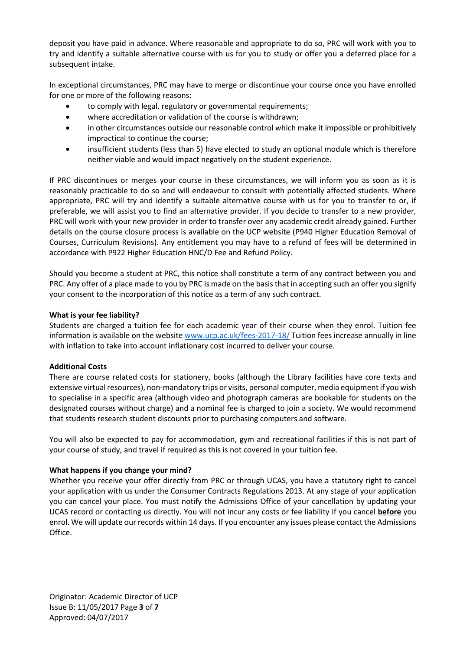deposit you have paid in advance. Where reasonable and appropriate to do so, PRC will work with you to try and identify a suitable alternative course with us for you to study or offer you a deferred place for a subsequent intake.

In exceptional circumstances, PRC may have to merge or discontinue your course once you have enrolled for one or more of the following reasons:

- to comply with legal, regulatory or governmental requirements;
- where accreditation or validation of the course is withdrawn;
- in other circumstances outside our reasonable control which make it impossible or prohibitively impractical to continue the course;
- insufficient students (less than 5) have elected to study an optional module which is therefore neither viable and would impact negatively on the student experience.

If PRC discontinues or merges your course in these circumstances, we will inform you as soon as it is reasonably practicable to do so and will endeavour to consult with potentially affected students. Where appropriate, PRC will try and identify a suitable alternative course with us for you to transfer to or, if preferable, we will assist you to find an alternative provider. If you decide to transfer to a new provider, PRC will work with your new provider in order to transfer over any academic credit already gained. Further details on the course closure process is available on the UCP website (P940 Higher Education Removal of Courses, Curriculum Revisions). Any entitlement you may have to a refund of fees will be determined in accordance with P922 Higher Education HNC/D Fee and Refund Policy.

Should you become a student at PRC, this notice shall constitute a term of any contract between you and PRC. Any offer of a place made to you by PRC is made on the basis that in accepting such an offer you signify your consent to the incorporation of this notice as a term of any such contract.

### **What is your fee liability?**

Students are charged a tuition fee for each academic year of their course when they enrol. Tuition fee information is available on the website [www.ucp.ac.uk/fees-2017-18/](http://www.ucp.ac.uk/fees-2017-18/) Tuition fees increase annually in line with inflation to take into account inflationary cost incurred to deliver your course.

### **Additional Costs**

There are course related costs for stationery, books (although the Library facilities have core texts and extensive virtual resources), non-mandatory trips or visits, personal computer, media equipment if you wish to specialise in a specific area (although video and photograph cameras are bookable for students on the designated courses without charge) and a nominal fee is charged to join a society. We would recommend that students research student discounts prior to purchasing computers and software.

You will also be expected to pay for accommodation, gym and recreational facilities if this is not part of your course of study, and travel if required as this is not covered in your tuition fee.

### **What happens if you change your mind?**

Whether you receive your offer directly from PRC or through UCAS, you have a statutory right to cancel your application with us under the Consumer Contracts Regulations 2013. At any stage of your application you can cancel your place. You must notify the Admissions Office of your cancellation by updating your UCAS record or contacting us directly. You will not incur any costs or fee liability if you cancel **before** you enrol. We will update our records within 14 days. If you encounter any issues please contact the Admissions Office.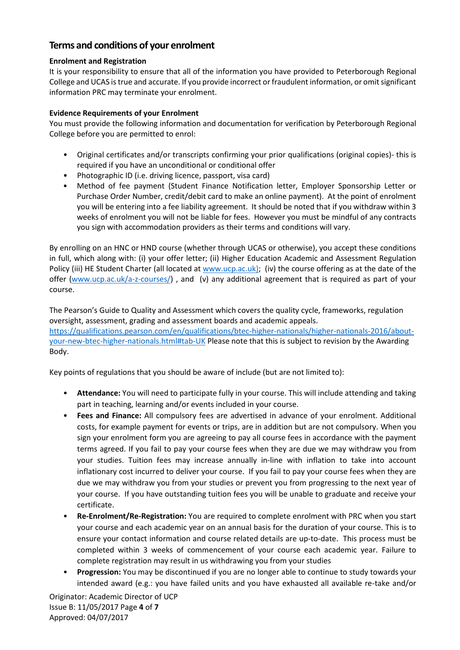# **Terms and conditions of your enrolment**

## **Enrolment and Registration**

It is your responsibility to ensure that all of the information you have provided to Peterborough Regional College and UCAS is true and accurate. If you provide incorrect or fraudulent information, or omit significant information PRC may terminate your enrolment.

## **Evidence Requirements of your Enrolment**

You must provide the following information and documentation for verification by Peterborough Regional College before you are permitted to enrol:

- Original certificates and/or transcripts confirming your prior qualifications (original copies)- this is required if you have an unconditional or conditional offer
- Photographic ID (i.e. driving licence, passport, visa card)
- Method of fee payment (Student Finance Notification letter, Employer Sponsorship Letter or Purchase Order Number, credit/debit card to make an online payment). At the point of enrolment you will be entering into a fee liability agreement. It should be noted that if you withdraw within 3 weeks of enrolment you will not be liable for fees. However you must be mindful of any contracts you sign with accommodation providers as their terms and conditions will vary.

By enrolling on an HNC or HND course (whether through UCAS or otherwise), you accept these conditions in full, which along with: (i) your offer letter; (ii) Higher Education Academic and Assessment Regulation Policy (iii) HE Student Charter (all located at [www.ucp.ac.uk\)](http://www.ucp.ac.uk/); (iv) the course offering as at the date of the offer [\(www.ucp.ac.uk/a-z-courses/\)](http://www.ucp.ac.uk/a-z-courses/) , and (v) any additional agreement that is required as part of your course.

The Pearson's Guide to Quality and Assessment which covers the quality cycle, frameworks, regulation oversight, assessment, grading and assessment boards and academic appeals. [https://qualifications.pearson.com/en/qualifications/btec-higher-nationals/higher-nationals-2016/about](https://qualifications.pearson.com/en/qualifications/btec-higher-nationals/higher-nationals-2016/about-your-new-btec-higher-nationals.html#tab-UK)[your-new-btec-higher-nationals.html#tab-UK](https://qualifications.pearson.com/en/qualifications/btec-higher-nationals/higher-nationals-2016/about-your-new-btec-higher-nationals.html#tab-UK) Please note that this is subject to revision by the Awarding Body.

Key points of regulations that you should be aware of include (but are not limited to):

- **Attendance:** You will need to participate fully in your course. This will include attending and taking part in teaching, learning and/or events included in your course.
- **Fees and Finance:** All compulsory fees are advertised in advance of your enrolment. Additional costs, for example payment for events or trips, are in addition but are not compulsory. When you sign your enrolment form you are agreeing to pay all course fees in accordance with the payment terms agreed. If you fail to pay your course fees when they are due we may withdraw you from your studies. Tuition fees may increase annually in-line with inflation to take into account inflationary cost incurred to deliver your course. If you fail to pay your course fees when they are due we may withdraw you from your studies or prevent you from progressing to the next year of your course. If you have outstanding tuition fees you will be unable to graduate and receive your certificate.
- **Re-Enrolment/Re-Registration:** You are required to complete enrolment with PRC when you start your course and each academic year on an annual basis for the duration of your course. This is to ensure your contact information and course related details are up-to-date. This process must be completed within 3 weeks of commencement of your course each academic year. Failure to complete registration may result in us withdrawing you from your studies
- **Progression:** You may be discontinued if you are no longer able to continue to study towards your intended award (e.g.: you have failed units and you have exhausted all available re-take and/or

Originator: Academic Director of UCP Issue B: 11/05/2017 Page **4** of **7** Approved: 04/07/2017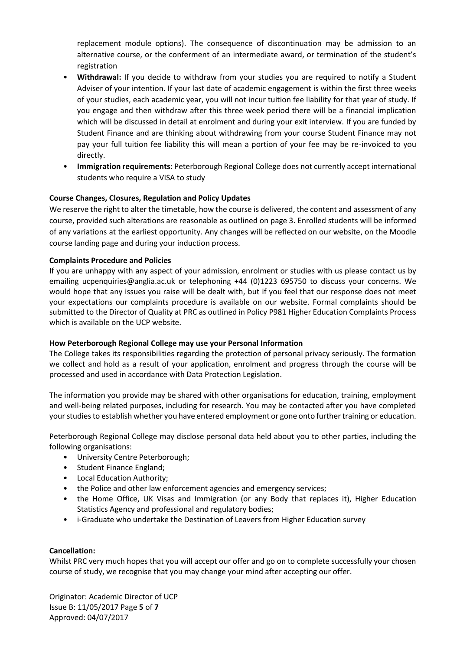replacement module options). The consequence of discontinuation may be admission to an alternative course, or the conferment of an intermediate award, or termination of the student's registration

- **Withdrawal:** If you decide to withdraw from your studies you are required to notify a Student Adviser of your intention. If your last date of academic engagement is within the first three weeks of your studies, each academic year, you will not incur tuition fee liability for that year of study. If you engage and then withdraw after this three week period there will be a financial implication which will be discussed in detail at enrolment and during your exit interview. If you are funded by Student Finance and are thinking about withdrawing from your course Student Finance may not pay your full tuition fee liability this will mean a portion of your fee may be re-invoiced to you directly.
- **Immigration requirements**: Peterborough Regional College does not currently accept international students who require a VISA to study

### **Course Changes, Closures, Regulation and Policy Updates**

We reserve the right to alter the timetable, how the course is delivered, the content and assessment of any course, provided such alterations are reasonable as outlined on page 3. Enrolled students will be informed of any variations at the earliest opportunity. Any changes will be reflected on our website, on the Moodle course landing page and during your induction process.

### **Complaints Procedure and Policies**

If you are unhappy with any aspect of your admission, enrolment or studies with us please contact us by emailing ucpenquiries@anglia.ac.uk or telephoning +44 (0)1223 695750 to discuss your concerns. We would hope that any issues you raise will be dealt with, but if you feel that our response does not meet your expectations our complaints procedure is available on our website. Formal complaints should be submitted to the Director of Quality at PRC as outlined in Policy P981 Higher Education Complaints Process which is available on the UCP website.

### **How Peterborough Regional College may use your Personal Information**

The College takes its responsibilities regarding the protection of personal privacy seriously. The formation we collect and hold as a result of your application, enrolment and progress through the course will be processed and used in accordance with Data Protection Legislation.

The information you provide may be shared with other organisations for education, training, employment and well-being related purposes, including for research. You may be contacted after you have completed your studiesto establish whether you have entered employment or gone onto further training or education.

Peterborough Regional College may disclose personal data held about you to other parties, including the following organisations:

- University Centre Peterborough;
- Student Finance England;
- Local Education Authority;
- the Police and other law enforcement agencies and emergency services;
- the Home Office, UK Visas and Immigration (or any Body that replaces it), Higher Education Statistics Agency and professional and regulatory bodies;
- i-Graduate who undertake the Destination of Leavers from Higher Education survey

### **Cancellation:**

Whilst PRC very much hopes that you will accept our offer and go on to complete successfully your chosen course of study, we recognise that you may change your mind after accepting our offer.

Originator: Academic Director of UCP Issue B: 11/05/2017 Page **5** of **7** Approved: 04/07/2017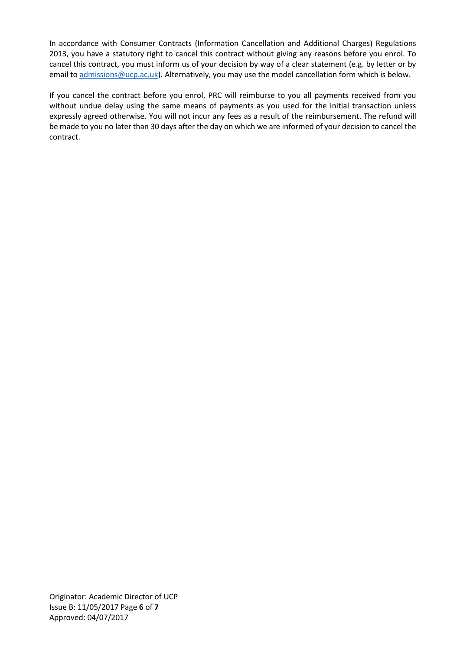In accordance with Consumer Contracts (Information Cancellation and Additional Charges) Regulations 2013, you have a statutory right to cancel this contract without giving any reasons before you enrol. To cancel this contract, you must inform us of your decision by way of a clear statement (e.g. by letter or by email to [admissions@ucp.ac.uk\)](mailto:admissions@ucp.ac.uk). Alternatively, you may use the model cancellation form which is below.

If you cancel the contract before you enrol, PRC will reimburse to you all payments received from you without undue delay using the same means of payments as you used for the initial transaction unless expressly agreed otherwise. You will not incur any fees as a result of the reimbursement. The refund will be made to you no later than 30 days after the day on which we are informed of your decision to cancel the contract.